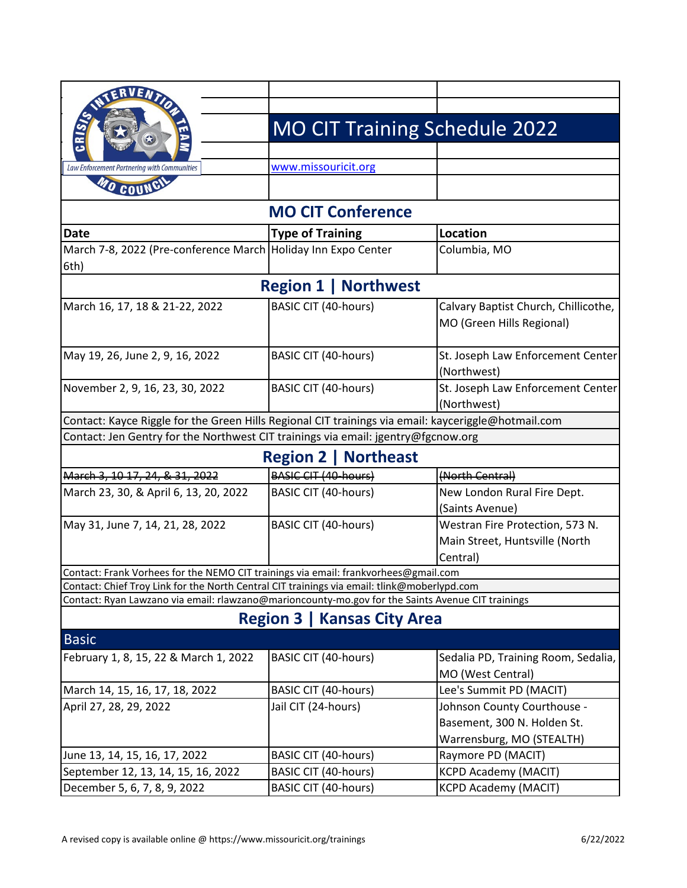|                                                                                                     |                             |                                    | <b>MO CIT Training Schedule 2022</b> |
|-----------------------------------------------------------------------------------------------------|-----------------------------|------------------------------------|--------------------------------------|
|                                                                                                     |                             |                                    |                                      |
| Law Enforcement Partnering with Communities                                                         | www.missouricit.org         |                                    |                                      |
| O COUNC                                                                                             |                             |                                    |                                      |
|                                                                                                     |                             | <b>MO CIT Conference</b>           |                                      |
| <b>Date</b>                                                                                         | <b>Type of Training</b>     |                                    | <b>Location</b>                      |
| March 7-8, 2022 (Pre-conference March Holiday Inn Expo Center                                       |                             |                                    | Columbia, MO                         |
| 6th)                                                                                                |                             |                                    |                                      |
|                                                                                                     |                             | <b>Region 1   Northwest</b>        |                                      |
| March 16, 17, 18 & 21-22, 2022                                                                      | <b>BASIC CIT (40-hours)</b> |                                    | Calvary Baptist Church, Chillicothe, |
|                                                                                                     |                             |                                    | MO (Green Hills Regional)            |
|                                                                                                     |                             |                                    |                                      |
| May 19, 26, June 2, 9, 16, 2022                                                                     | <b>BASIC CIT (40-hours)</b> |                                    | St. Joseph Law Enforcement Center    |
|                                                                                                     |                             |                                    | (Northwest)                          |
| November 2, 9, 16, 23, 30, 2022                                                                     | <b>BASIC CIT (40-hours)</b> |                                    | St. Joseph Law Enforcement Center    |
|                                                                                                     |                             |                                    | (Northwest)                          |
| Contact: Kayce Riggle for the Green Hills Regional CIT trainings via email: kayceriggle@hotmail.com |                             |                                    |                                      |
| Contact: Jen Gentry for the Northwest CIT trainings via email: jgentry@fgcnow.org                   |                             |                                    |                                      |
|                                                                                                     |                             | <b>Region 2   Northeast</b>        |                                      |
| March 3, 10 17, 24, & 31, 2022                                                                      | <b>BASIC CIT (40-hours)</b> |                                    | (North Central)                      |
| March 23, 30, & April 6, 13, 20, 2022                                                               | <b>BASIC CIT (40-hours)</b> |                                    | New London Rural Fire Dept.          |
|                                                                                                     |                             |                                    | (Saints Avenue)                      |
| May 31, June 7, 14, 21, 28, 2022                                                                    | <b>BASIC CIT (40-hours)</b> |                                    | Westran Fire Protection, 573 N.      |
|                                                                                                     |                             |                                    | Main Street, Huntsville (North       |
|                                                                                                     |                             |                                    | Central)                             |
| Contact: Frank Vorhees for the NEMO CIT trainings via email: frankvorhees@gmail.com                 |                             |                                    |                                      |
| Contact: Chief Troy Link for the North Central CIT trainings via email: tlink@moberlypd.com         |                             |                                    |                                      |
| Contact: Ryan Lawzano via email: rlawzano@marioncounty-mo.gov for the Saints Avenue CIT trainings   |                             |                                    |                                      |
|                                                                                                     |                             | <b>Region 3   Kansas City Area</b> |                                      |
| <b>Basic</b>                                                                                        |                             |                                    |                                      |
| February 1, 8, 15, 22 & March 1, 2022                                                               | BASIC CIT (40-hours)        |                                    | Sedalia PD, Training Room, Sedalia,  |
|                                                                                                     |                             |                                    | MO (West Central)                    |
| March 14, 15, 16, 17, 18, 2022                                                                      | <b>BASIC CIT (40-hours)</b> |                                    | Lee's Summit PD (MACIT)              |
| April 27, 28, 29, 2022                                                                              | Jail CIT (24-hours)         |                                    | Johnson County Courthouse -          |
|                                                                                                     |                             |                                    | Basement, 300 N. Holden St.          |
|                                                                                                     |                             |                                    | Warrensburg, MO (STEALTH)            |
| June 13, 14, 15, 16, 17, 2022                                                                       | <b>BASIC CIT (40-hours)</b> |                                    | Raymore PD (MACIT)                   |
| September 12, 13, 14, 15, 16, 2022                                                                  | <b>BASIC CIT (40-hours)</b> |                                    | <b>KCPD Academy (MACIT)</b>          |
| December 5, 6, 7, 8, 9, 2022                                                                        | <b>BASIC CIT (40-hours)</b> |                                    | <b>KCPD Academy (MACIT)</b>          |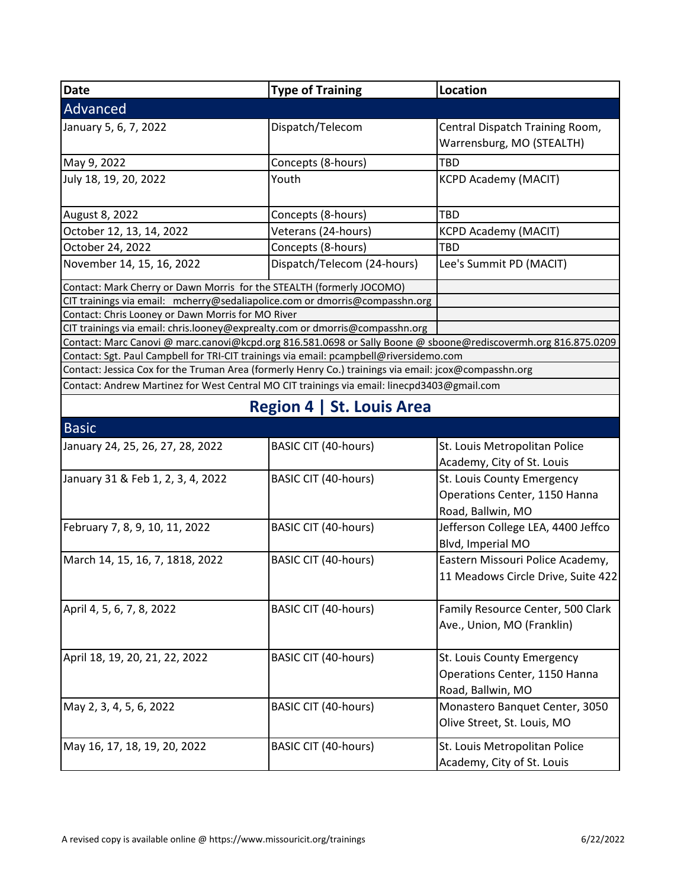| Date                                                                                                                                                                                                     | <b>Type of Training</b>          | Location                           |
|----------------------------------------------------------------------------------------------------------------------------------------------------------------------------------------------------------|----------------------------------|------------------------------------|
| Advanced                                                                                                                                                                                                 |                                  |                                    |
| January 5, 6, 7, 2022                                                                                                                                                                                    | Dispatch/Telecom                 | Central Dispatch Training Room,    |
|                                                                                                                                                                                                          |                                  | Warrensburg, MO (STEALTH)          |
| May 9, 2022                                                                                                                                                                                              | Concepts (8-hours)               | <b>TBD</b>                         |
| July 18, 19, 20, 2022                                                                                                                                                                                    | Youth                            | <b>KCPD Academy (MACIT)</b>        |
|                                                                                                                                                                                                          |                                  |                                    |
| August 8, 2022                                                                                                                                                                                           | Concepts (8-hours)               | TBD                                |
| October 12, 13, 14, 2022                                                                                                                                                                                 | Veterans (24-hours)              | <b>KCPD Academy (MACIT)</b>        |
| October 24, 2022                                                                                                                                                                                         | Concepts (8-hours)               | TBD                                |
| November 14, 15, 16, 2022                                                                                                                                                                                | Dispatch/Telecom (24-hours)      | Lee's Summit PD (MACIT)            |
| Contact: Mark Cherry or Dawn Morris for the STEALTH (formerly JOCOMO)                                                                                                                                    |                                  |                                    |
| CIT trainings via email: mcherry@sedaliapolice.com or dmorris@compasshn.org                                                                                                                              |                                  |                                    |
| Contact: Chris Looney or Dawn Morris for MO River                                                                                                                                                        |                                  |                                    |
| CIT trainings via email: chris.looney@exprealty.com or dmorris@compasshn.org                                                                                                                             |                                  |                                    |
| Contact: Marc Canovi @ marc.canovi@kcpd.org 816.581.0698 or Sally Boone @ sboone@rediscovermh.org 816.875.0209<br>Contact: Sgt. Paul Campbell for TRI-CIT trainings via email: pcampbell@riversidemo.com |                                  |                                    |
| Contact: Jessica Cox for the Truman Area (formerly Henry Co.) trainings via email: jcox@compasshn.org                                                                                                    |                                  |                                    |
| Contact: Andrew Martinez for West Central MO CIT trainings via email: linecpd3403@gmail.com                                                                                                              |                                  |                                    |
|                                                                                                                                                                                                          |                                  |                                    |
|                                                                                                                                                                                                          | <b>Region 4   St. Louis Area</b> |                                    |
| <b>Basic</b>                                                                                                                                                                                             |                                  |                                    |
| January 24, 25, 26, 27, 28, 2022                                                                                                                                                                         | <b>BASIC CIT (40-hours)</b>      | St. Louis Metropolitan Police      |
|                                                                                                                                                                                                          |                                  | Academy, City of St. Louis         |
| January 31 & Feb 1, 2, 3, 4, 2022                                                                                                                                                                        | BASIC CIT (40-hours)             | St. Louis County Emergency         |
|                                                                                                                                                                                                          |                                  | Operations Center, 1150 Hanna      |
|                                                                                                                                                                                                          |                                  | Road, Ballwin, MO                  |
| February 7, 8, 9, 10, 11, 2022                                                                                                                                                                           | BASIC CIT (40-hours)             | Jefferson College LEA, 4400 Jeffco |
|                                                                                                                                                                                                          |                                  | Blvd, Imperial MO                  |
| March 14, 15, 16, 7, 1818, 2022                                                                                                                                                                          | BASIC CIT (40-hours)             | Eastern Missouri Police Academy,   |
|                                                                                                                                                                                                          |                                  | 11 Meadows Circle Drive, Suite 422 |
|                                                                                                                                                                                                          |                                  |                                    |
| April 4, 5, 6, 7, 8, 2022                                                                                                                                                                                | <b>BASIC CIT (40-hours)</b>      | Family Resource Center, 500 Clark  |
|                                                                                                                                                                                                          |                                  | Ave., Union, MO (Franklin)         |
|                                                                                                                                                                                                          |                                  |                                    |
| April 18, 19, 20, 21, 22, 2022                                                                                                                                                                           | <b>BASIC CIT (40-hours)</b>      | St. Louis County Emergency         |
|                                                                                                                                                                                                          |                                  | Operations Center, 1150 Hanna      |
|                                                                                                                                                                                                          |                                  | Road, Ballwin, MO                  |
| May 2, 3, 4, 5, 6, 2022                                                                                                                                                                                  | <b>BASIC CIT (40-hours)</b>      | Monastero Banquet Center, 3050     |
|                                                                                                                                                                                                          |                                  | Olive Street, St. Louis, MO        |
|                                                                                                                                                                                                          |                                  |                                    |
| May 16, 17, 18, 19, 20, 2022                                                                                                                                                                             | <b>BASIC CIT (40-hours)</b>      | St. Louis Metropolitan Police      |
|                                                                                                                                                                                                          |                                  | Academy, City of St. Louis         |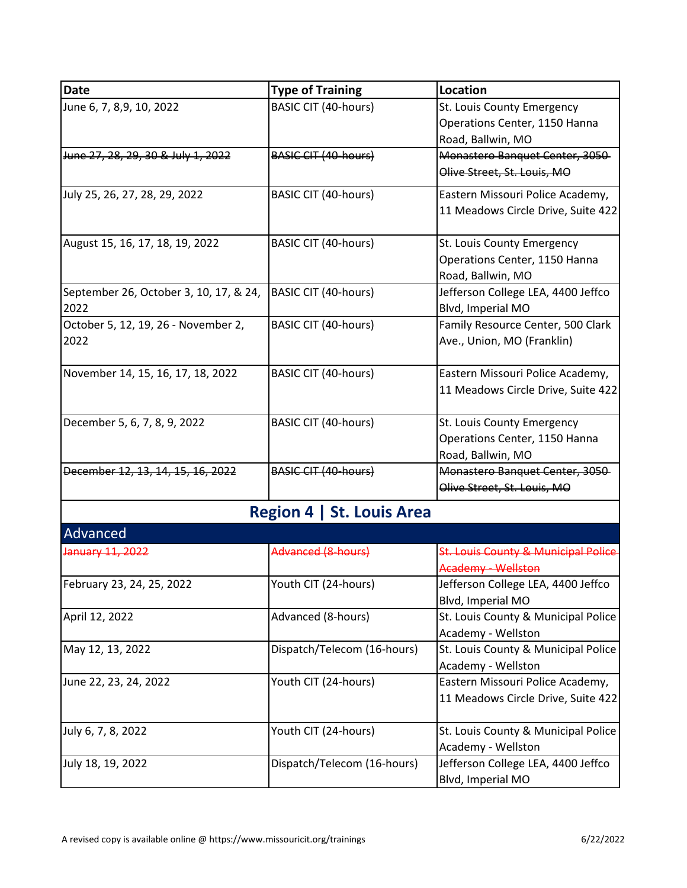| <b>Date</b>                            | <b>Type of Training</b>          | Location                            |
|----------------------------------------|----------------------------------|-------------------------------------|
| June 6, 7, 8,9, 10, 2022               | <b>BASIC CIT (40-hours)</b>      | St. Louis County Emergency          |
|                                        |                                  | Operations Center, 1150 Hanna       |
|                                        |                                  | Road, Ballwin, MO                   |
| June 27, 28, 29, 30 & July 1, 2022     | <b>BASIC CIT (40-hours)</b>      | Monastero Banquet Center, 3050      |
|                                        |                                  | Olive Street, St. Louis, MO         |
| July 25, 26, 27, 28, 29, 2022          | <b>BASIC CIT (40-hours)</b>      | Eastern Missouri Police Academy,    |
|                                        |                                  | 11 Meadows Circle Drive, Suite 422  |
| August 15, 16, 17, 18, 19, 2022        | <b>BASIC CIT (40-hours)</b>      | St. Louis County Emergency          |
|                                        |                                  | Operations Center, 1150 Hanna       |
|                                        |                                  | Road, Ballwin, MO                   |
| September 26, October 3, 10, 17, & 24, | BASIC CIT (40-hours)             | Jefferson College LEA, 4400 Jeffco  |
| 2022                                   |                                  | Blvd, Imperial MO                   |
| October 5, 12, 19, 26 - November 2,    | BASIC CIT (40-hours)             | Family Resource Center, 500 Clark   |
| 2022                                   |                                  | Ave., Union, MO (Franklin)          |
| November 14, 15, 16, 17, 18, 2022      | <b>BASIC CIT (40-hours)</b>      | Eastern Missouri Police Academy,    |
|                                        |                                  | 11 Meadows Circle Drive, Suite 422  |
| December 5, 6, 7, 8, 9, 2022           | <b>BASIC CIT (40-hours)</b>      | St. Louis County Emergency          |
|                                        |                                  | Operations Center, 1150 Hanna       |
|                                        |                                  | Road, Ballwin, MO                   |
| December 12, 13, 14, 15, 16, 2022      | <b>BASIC CIT (40-hours)</b>      | Monastero Banquet Center, 3050      |
|                                        |                                  | Olive Street, St. Louis, MO         |
|                                        | <b>Region 4   St. Louis Area</b> |                                     |
| Advanced                               |                                  |                                     |
| January 11, 2022                       | Advanced (8-hours)               | St. Louis County & Municipal Police |
|                                        |                                  | Academy - Wellston                  |
| February 23, 24, 25, 2022              | Youth CIT (24-hours)             | Jefferson College LEA, 4400 Jeffco  |
|                                        |                                  | Blvd, Imperial MO                   |
| April 12, 2022                         | Advanced (8-hours)               | St. Louis County & Municipal Police |
|                                        |                                  | Academy - Wellston                  |
| May 12, 13, 2022                       | Dispatch/Telecom (16-hours)      | St. Louis County & Municipal Police |
|                                        |                                  | Academy - Wellston                  |
| June 22, 23, 24, 2022                  | Youth CIT (24-hours)             | Eastern Missouri Police Academy,    |
|                                        |                                  | 11 Meadows Circle Drive, Suite 422  |
| July 6, 7, 8, 2022                     | Youth CIT (24-hours)             | St. Louis County & Municipal Police |
|                                        |                                  | Academy - Wellston                  |
| July 18, 19, 2022                      | Dispatch/Telecom (16-hours)      | Jefferson College LEA, 4400 Jeffco  |
|                                        |                                  | Blvd, Imperial MO                   |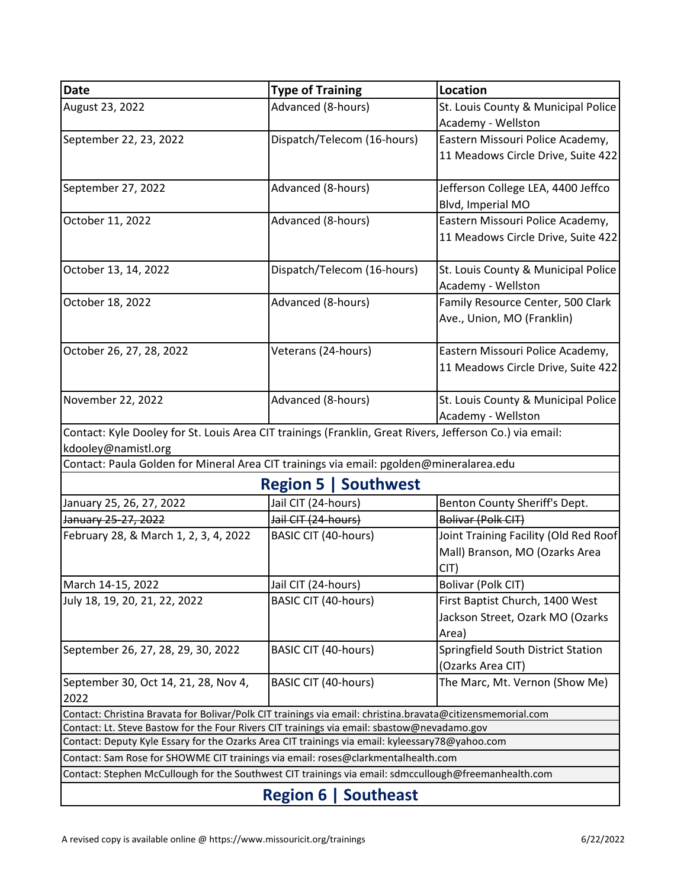| Date                                                                                                        | <b>Type of Training</b>     | Location                              |  |  |  |
|-------------------------------------------------------------------------------------------------------------|-----------------------------|---------------------------------------|--|--|--|
| August 23, 2022                                                                                             | Advanced (8-hours)          | St. Louis County & Municipal Police   |  |  |  |
|                                                                                                             |                             | Academy - Wellston                    |  |  |  |
| September 22, 23, 2022                                                                                      | Dispatch/Telecom (16-hours) | Eastern Missouri Police Academy,      |  |  |  |
|                                                                                                             |                             | 11 Meadows Circle Drive, Suite 422    |  |  |  |
| September 27, 2022                                                                                          | Advanced (8-hours)          | Jefferson College LEA, 4400 Jeffco    |  |  |  |
|                                                                                                             |                             | Blvd, Imperial MO                     |  |  |  |
| October 11, 2022                                                                                            | Advanced (8-hours)          | Eastern Missouri Police Academy,      |  |  |  |
|                                                                                                             |                             | 11 Meadows Circle Drive, Suite 422    |  |  |  |
| October 13, 14, 2022                                                                                        | Dispatch/Telecom (16-hours) | St. Louis County & Municipal Police   |  |  |  |
|                                                                                                             |                             | Academy - Wellston                    |  |  |  |
| October 18, 2022                                                                                            | Advanced (8-hours)          | Family Resource Center, 500 Clark     |  |  |  |
|                                                                                                             |                             | Ave., Union, MO (Franklin)            |  |  |  |
| October 26, 27, 28, 2022                                                                                    | Veterans (24-hours)         | Eastern Missouri Police Academy,      |  |  |  |
|                                                                                                             |                             | 11 Meadows Circle Drive, Suite 422    |  |  |  |
|                                                                                                             |                             |                                       |  |  |  |
| November 22, 2022                                                                                           | Advanced (8-hours)          | St. Louis County & Municipal Police   |  |  |  |
|                                                                                                             |                             | Academy - Wellston                    |  |  |  |
| Contact: Kyle Dooley for St. Louis Area CIT trainings (Franklin, Great Rivers, Jefferson Co.) via email:    |                             |                                       |  |  |  |
| kdooley@namistl.org                                                                                         |                             |                                       |  |  |  |
| Contact: Paula Golden for Mineral Area CIT trainings via email: pgolden@mineralarea.edu                     |                             |                                       |  |  |  |
|                                                                                                             | <b>Region 5   Southwest</b> |                                       |  |  |  |
| January 25, 26, 27, 2022                                                                                    | Jail CIT (24-hours)         | Benton County Sheriff's Dept.         |  |  |  |
| January 25-27, 2022                                                                                         | Jail CIT (24-hours)         | Bolivar (Polk CIT)                    |  |  |  |
| February 28, & March 1, 2, 3, 4, 2022                                                                       | <b>BASIC CIT (40-hours)</b> | Joint Training Facility (Old Red Roof |  |  |  |
|                                                                                                             |                             | Mall) Branson, MO (Ozarks Area        |  |  |  |
|                                                                                                             |                             | CIT)                                  |  |  |  |
| March 14-15, 2022                                                                                           | Jail CIT (24-hours)         | Bolivar (Polk CIT)                    |  |  |  |
| July 18, 19, 20, 21, 22, 2022                                                                               | BASIC CIT (40-hours)        | First Baptist Church, 1400 West       |  |  |  |
|                                                                                                             |                             | Jackson Street, Ozark MO (Ozarks      |  |  |  |
|                                                                                                             |                             | Area)                                 |  |  |  |
| September 26, 27, 28, 29, 30, 2022                                                                          | <b>BASIC CIT (40-hours)</b> | Springfield South District Station    |  |  |  |
|                                                                                                             |                             | (Ozarks Area CIT)                     |  |  |  |
| September 30, Oct 14, 21, 28, Nov 4,                                                                        | BASIC CIT (40-hours)        | The Marc, Mt. Vernon (Show Me)        |  |  |  |
| 2022                                                                                                        |                             |                                       |  |  |  |
| Contact: Christina Bravata for Bolivar/Polk CIT trainings via email: christina.bravata@citizensmemorial.com |                             |                                       |  |  |  |
| Contact: Lt. Steve Bastow for the Four Rivers CIT trainings via email: sbastow@nevadamo.gov                 |                             |                                       |  |  |  |
| Contact: Deputy Kyle Essary for the Ozarks Area CIT trainings via email: kyleessary78@yahoo.com             |                             |                                       |  |  |  |
| Contact: Sam Rose for SHOWME CIT trainings via email: roses@clarkmentalhealth.com                           |                             |                                       |  |  |  |
| Contact: Stephen McCullough for the Southwest CIT trainings via email: sdmccullough@freemanhealth.com       |                             |                                       |  |  |  |
| <b>Region 6   Southeast</b>                                                                                 |                             |                                       |  |  |  |